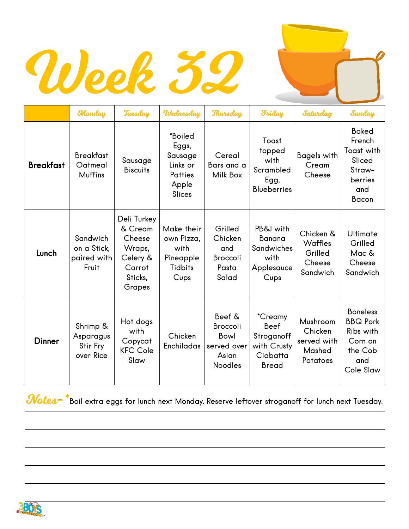## Week 32

|                  | Monday                                          | <b>Tuesday</b>                                                                        | Wednesday                                                                           | Thursday                                                                    | Friday                                                                          | Saturday                                                     | Sunday                                                                                    |
|------------------|-------------------------------------------------|---------------------------------------------------------------------------------------|-------------------------------------------------------------------------------------|-----------------------------------------------------------------------------|---------------------------------------------------------------------------------|--------------------------------------------------------------|-------------------------------------------------------------------------------------------|
| <b>Breakfast</b> | <b>Breakfast</b><br>Oatmeal<br>Muffins          | Sausage<br><b>Biscuits</b>                                                            | *Boiled<br>Eggs,<br>Sausage<br>Links or<br><b>Patties</b><br>Apple<br><b>Slices</b> | Cereal<br>Bars and a<br>Milk Box                                            | Toast<br>topped<br>with<br>Scrambled<br>Egg,<br><b>Blueberries</b>              | <b>Bagels with</b><br>Cream<br>Cheese                        | <b>Baked</b><br>French<br>Toast with<br>Sliced<br>Straw-<br>berries<br>and<br>Bacon       |
| Lunch            | Sandwich<br>on a Stick,<br>paired with<br>Fruit | Deli Turkey<br>& Cream<br>Cheese<br>Wraps,<br>Celery &<br>Carrot<br>Sticks,<br>Grapes | Make their<br>own Pizza,<br>with<br>Pineapple<br>Tidbits<br>Cups                    | Grilled<br>Chicken<br>and<br><b>Broccoli</b><br>Pasta<br>Salad              | PB&J with<br>Banana<br>Sandwiches<br>with<br>Applesauce<br>Cups                 | Chicken &<br><b>Waffles</b><br>Grilled<br>Cheese<br>Sandwich | Ultimate<br>Grilled<br>Mac &<br>Cheese<br>Sandwich                                        |
| <b>Dinner</b>    | Shrimp &<br>Asparagus<br>Stir Fry<br>over Rice  | Hot dogs<br>with<br>Copycat<br><b>KFC Cole</b><br>Slaw                                | Chicken<br><b>Enchiladas</b>                                                        | Beef &<br><b>Broccoli</b><br>Bowl<br>served over<br>Asian<br><b>Noodles</b> | *Creamy<br><b>Beef</b><br>Stroganoff<br>with Crusty<br>Ciabatta<br><b>Bread</b> | Mushroom<br>Chicken<br>served with<br>Mashed<br>Potatoes     | <b>Boneless</b><br><b>BBQ Pork</b><br>Ribs with<br>Corn on<br>the Cob<br>and<br>Cole Slaw |

Mates-  $*$ Boil extra eggs for lunch next Monday. Reserve leftover stroganoff for lunch next Tuesday.